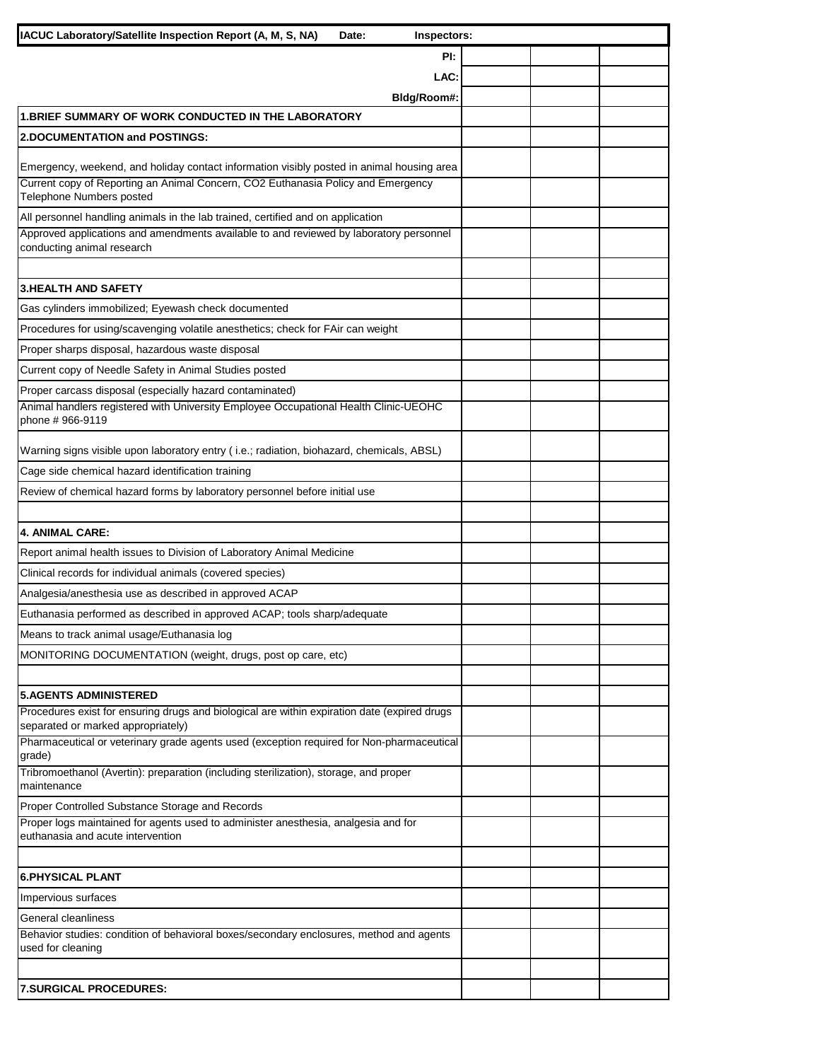| IACUC Laboratory/Satellite Inspection Report (A, M, S, NA)                                                                         | Inspectors:<br>Date: |  |  |
|------------------------------------------------------------------------------------------------------------------------------------|----------------------|--|--|
|                                                                                                                                    | PI:                  |  |  |
|                                                                                                                                    | LAC:                 |  |  |
|                                                                                                                                    | Bldg/Room#:          |  |  |
| <b>1. BRIEF SUMMARY OF WORK CONDUCTED IN THE LABORATORY</b>                                                                        |                      |  |  |
| <b>2.DOCUMENTATION and POSTINGS:</b>                                                                                               |                      |  |  |
| Emergency, weekend, and holiday contact information visibly posted in animal housing area                                          |                      |  |  |
| Current copy of Reporting an Animal Concern, CO2 Euthanasia Policy and Emergency<br>Telephone Numbers posted                       |                      |  |  |
| All personnel handling animals in the lab trained, certified and on application                                                    |                      |  |  |
| Approved applications and amendments available to and reviewed by laboratory personnel<br>conducting animal research               |                      |  |  |
| <b>3.HEALTH AND SAFETY</b>                                                                                                         |                      |  |  |
| Gas cylinders immobilized; Eyewash check documented                                                                                |                      |  |  |
| Procedures for using/scavenging volatile anesthetics; check for FAir can weight                                                    |                      |  |  |
| Proper sharps disposal, hazardous waste disposal                                                                                   |                      |  |  |
| Current copy of Needle Safety in Animal Studies posted                                                                             |                      |  |  |
| Proper carcass disposal (especially hazard contaminated)                                                                           |                      |  |  |
| Animal handlers registered with University Employee Occupational Health Clinic-UEOHC<br>phone #966-9119                            |                      |  |  |
| Warning signs visible upon laboratory entry (i.e.; radiation, biohazard, chemicals, ABSL)                                          |                      |  |  |
| Cage side chemical hazard identification training                                                                                  |                      |  |  |
| Review of chemical hazard forms by laboratory personnel before initial use                                                         |                      |  |  |
|                                                                                                                                    |                      |  |  |
| 4. ANIMAL CARE:                                                                                                                    |                      |  |  |
| Report animal health issues to Division of Laboratory Animal Medicine                                                              |                      |  |  |
| Clinical records for individual animals (covered species)                                                                          |                      |  |  |
| Analgesia/anesthesia use as described in approved ACAP                                                                             |                      |  |  |
| Euthanasia performed as described in approved ACAP; tools sharp/adequate                                                           |                      |  |  |
| Means to track animal usage/Euthanasia log                                                                                         |                      |  |  |
| MONITORING DOCUMENTATION (weight, drugs, post op care, etc)                                                                        |                      |  |  |
|                                                                                                                                    |                      |  |  |
| <b>5.AGENTS ADMINISTERED</b>                                                                                                       |                      |  |  |
| Procedures exist for ensuring drugs and biological are within expiration date (expired drugs<br>separated or marked appropriately) |                      |  |  |
| Pharmaceutical or veterinary grade agents used (exception required for Non-pharmaceutical<br>grade)                                |                      |  |  |
| Tribromoethanol (Avertin): preparation (including sterilization), storage, and proper<br>maintenance                               |                      |  |  |
| Proper Controlled Substance Storage and Records                                                                                    |                      |  |  |
| Proper logs maintained for agents used to administer anesthesia, analgesia and for<br>euthanasia and acute intervention            |                      |  |  |
| <b>6.PHYSICAL PLANT</b>                                                                                                            |                      |  |  |
| Impervious surfaces                                                                                                                |                      |  |  |
| General cleanliness                                                                                                                |                      |  |  |
| Behavior studies: condition of behavioral boxes/secondary enclosures, method and agents                                            |                      |  |  |
| used for cleaning                                                                                                                  |                      |  |  |
|                                                                                                                                    |                      |  |  |
| <b>7.SURGICAL PROCEDURES:</b>                                                                                                      |                      |  |  |